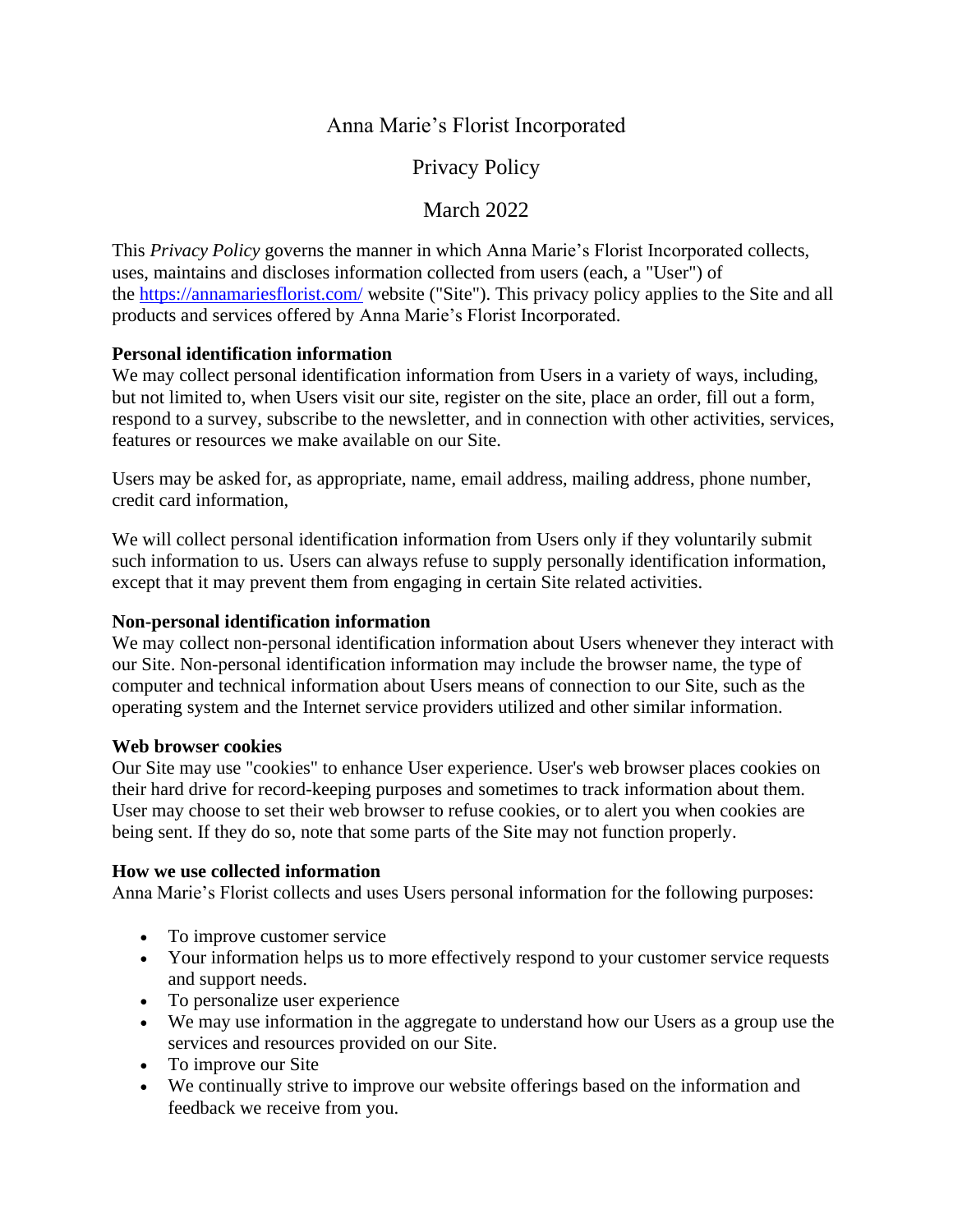# Anna Marie's Florist Incorporated

Privacy Policy

# **March 2022**

This *Privacy Policy* governs the manner in which Anna Marie's Florist Incorporated collects, uses, maintains and discloses information collected from users (each, a "User") of the <https://annamariesflorist.com/> website ("Site"). This privacy policy applies to the Site and all products and services offered by Anna Marie's Florist Incorporated.

# **Personal identification information**

We may collect personal identification information from Users in a variety of ways, including, but not limited to, when Users visit our site, register on the site, place an order, fill out a form, respond to a survey, subscribe to the newsletter, and in connection with other activities, services, features or resources we make available on our Site.

Users may be asked for, as appropriate, name, email address, mailing address, phone number, credit card information,

We will collect personal identification information from Users only if they voluntarily submit such information to us. Users can always refuse to supply personally identification information, except that it may prevent them from engaging in certain Site related activities.

# **Non-personal identification information**

We may collect non-personal identification information about Users whenever they interact with our Site. Non-personal identification information may include the browser name, the type of computer and technical information about Users means of connection to our Site, such as the operating system and the Internet service providers utilized and other similar information.

## **Web browser cookies**

Our Site may use "cookies" to enhance User experience. User's web browser places cookies on their hard drive for record-keeping purposes and sometimes to track information about them. User may choose to set their web browser to refuse cookies, or to alert you when cookies are being sent. If they do so, note that some parts of the Site may not function properly.

## **How we use collected information**

Anna Marie's Florist collects and uses Users personal information for the following purposes:

- To improve customer service
- Your information helps us to more effectively respond to your customer service requests and support needs.
- To personalize user experience
- We may use information in the aggregate to understand how our Users as a group use the services and resources provided on our Site.
- To improve our Site
- We continually strive to improve our website offerings based on the information and feedback we receive from you.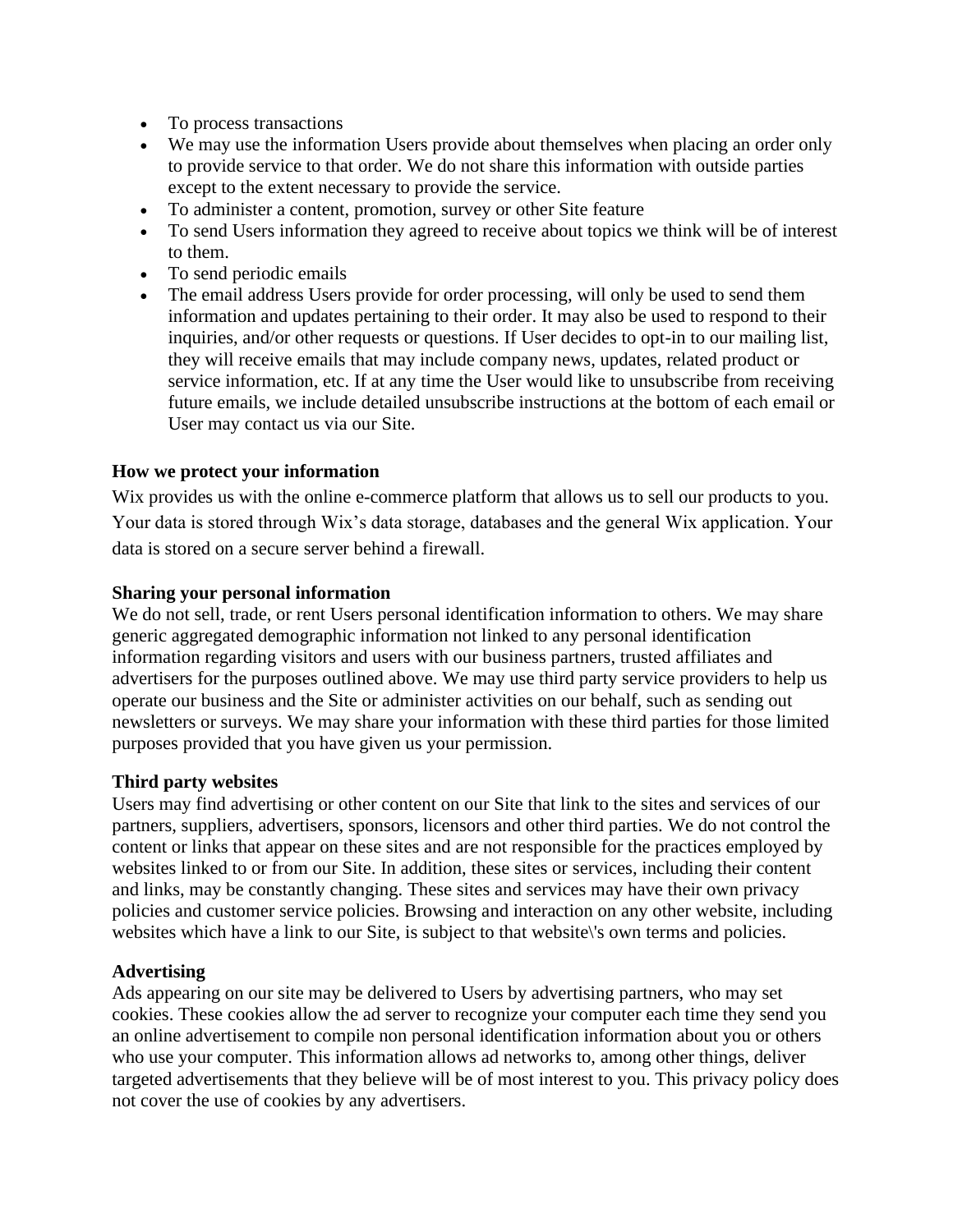- To process transactions
- We may use the information Users provide about themselves when placing an order only to provide service to that order. We do not share this information with outside parties except to the extent necessary to provide the service.
- To administer a content, promotion, survey or other Site feature
- To send Users information they agreed to receive about topics we think will be of interest to them.
- To send periodic emails
- The email address Users provide for order processing, will only be used to send them information and updates pertaining to their order. It may also be used to respond to their inquiries, and/or other requests or questions. If User decides to opt-in to our mailing list, they will receive emails that may include company news, updates, related product or service information, etc. If at any time the User would like to unsubscribe from receiving future emails, we include detailed unsubscribe instructions at the bottom of each email or User may contact us via our Site.

## **How we protect your information**

Wix provides us with the online e-commerce platform that allows us to sell our products to you. Your data is stored through Wix's data storage, databases and the general Wix application. Your data is stored on a secure server behind a firewall.

#### **Sharing your personal information**

We do not sell, trade, or rent Users personal identification information to others. We may share generic aggregated demographic information not linked to any personal identification information regarding visitors and users with our business partners, trusted affiliates and advertisers for the purposes outlined above. We may use third party service providers to help us operate our business and the Site or administer activities on our behalf, such as sending out newsletters or surveys. We may share your information with these third parties for those limited purposes provided that you have given us your permission.

## **Third party websites**

Users may find advertising or other content on our Site that link to the sites and services of our partners, suppliers, advertisers, sponsors, licensors and other third parties. We do not control the content or links that appear on these sites and are not responsible for the practices employed by websites linked to or from our Site. In addition, these sites or services, including their content and links, may be constantly changing. These sites and services may have their own privacy policies and customer service policies. Browsing and interaction on any other website, including websites which have a link to our Site, is subject to that website\'s own terms and policies.

## **Advertising**

Ads appearing on our site may be delivered to Users by advertising partners, who may set cookies. These cookies allow the ad server to recognize your computer each time they send you an online advertisement to compile non personal identification information about you or others who use your computer. This information allows ad networks to, among other things, deliver targeted advertisements that they believe will be of most interest to you. This privacy policy does not cover the use of cookies by any advertisers.